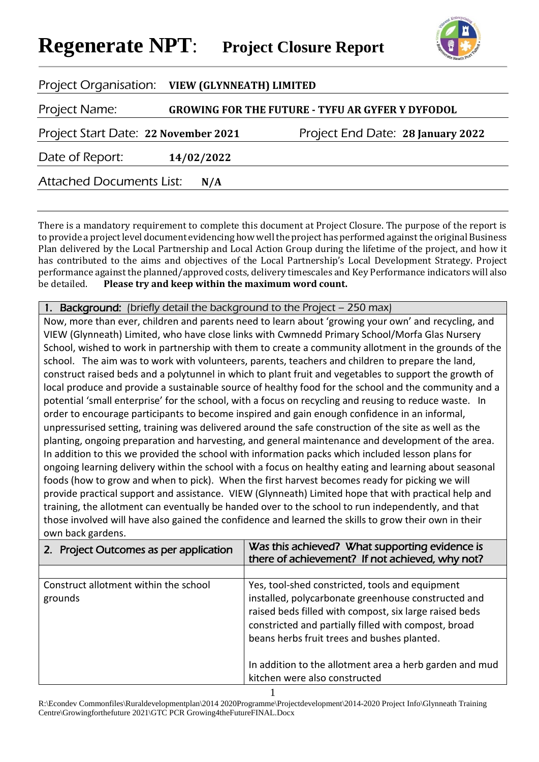

| Project Organisation: VIEW (GLYNNEATH) LIMITED |            |                                                         |
|------------------------------------------------|------------|---------------------------------------------------------|
| Project Name:                                  |            | <b>GROWING FOR THE FUTURE - TYFU AR GYFER Y DYFODOL</b> |
| Project Start Date: 22 November 2021           |            | Project End Date: 28 January 2022                       |
| Date of Report:                                | 14/02/2022 |                                                         |
| <b>Attached Documents List:</b>                | N/A        |                                                         |

There is a mandatory requirement to complete this document at Project Closure. The purpose of the report is to provide a project level document evidencing how well the project has performed against the original Business Plan delivered by the Local Partnership and Local Action Group during the lifetime of the project, and how it has contributed to the aims and objectives of the Local Partnership's Local Development Strategy. Project performance against the planned/approved costs, delivery timescales and Key Performance indicators will also be detailed. **Please try and keep within the maximum word count.**

Background: (briefly detail the background to the Project – 250 max)

Now, more than ever, children and parents need to learn about 'growing your own' and recycling, and VIEW (Glynneath) Limited, who have close links with Cwmnedd Primary School/Morfa Glas Nursery School, wished to work in partnership with them to create a community allotment in the grounds of the school. The aim was to work with volunteers, parents, teachers and children to prepare the land, construct raised beds and a polytunnel in which to plant fruit and vegetables to support the growth of local produce and provide a sustainable source of healthy food for the school and the community and a potential 'small enterprise' for the school, with a focus on recycling and reusing to reduce waste. In order to encourage participants to become inspired and gain enough confidence in an informal, unpressurised setting, training was delivered around the safe construction of the site as well as the planting, ongoing preparation and harvesting, and general maintenance and development of the area. In addition to this we provided the school with information packs which included lesson plans for ongoing learning delivery within the school with a focus on healthy eating and learning about seasonal foods (how to grow and when to pick). When the first harvest becomes ready for picking we will provide practical support and assistance. VIEW (Glynneath) Limited hope that with practical help and training, the allotment can eventually be handed over to the school to run independently, and that those involved will have also gained the confidence and learned the skills to grow their own in their own back gardens.

| 2. Project Outcomes as per application           | Was this achieved? What supporting evidence is<br>there of achievement? If not achieved, why not?                                                                                                                                                                       |  |
|--------------------------------------------------|-------------------------------------------------------------------------------------------------------------------------------------------------------------------------------------------------------------------------------------------------------------------------|--|
|                                                  |                                                                                                                                                                                                                                                                         |  |
| Construct allotment within the school<br>grounds | Yes, tool-shed constricted, tools and equipment<br>installed, polycarbonate greenhouse constructed and<br>raised beds filled with compost, six large raised beds<br>constricted and partially filled with compost, broad<br>beans herbs fruit trees and bushes planted. |  |
|                                                  | In addition to the allotment area a herb garden and mud<br>kitchen were also constructed                                                                                                                                                                                |  |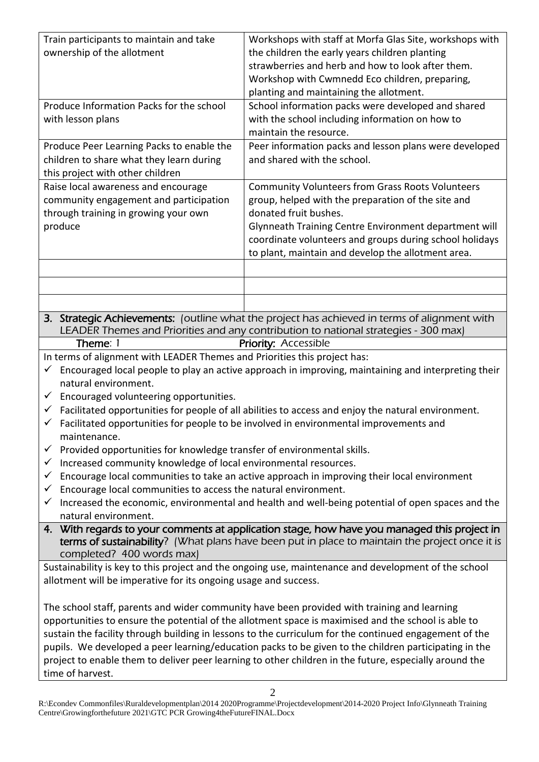| Train participants to maintain and take                                                                                                                                               | Workshops with staff at Morfa Glas Site, workshops with                                                                                                                             |  |  |  |
|---------------------------------------------------------------------------------------------------------------------------------------------------------------------------------------|-------------------------------------------------------------------------------------------------------------------------------------------------------------------------------------|--|--|--|
| ownership of the allotment                                                                                                                                                            | the children the early years children planting                                                                                                                                      |  |  |  |
|                                                                                                                                                                                       | strawberries and herb and how to look after them.                                                                                                                                   |  |  |  |
|                                                                                                                                                                                       | Workshop with Cwmnedd Eco children, preparing,                                                                                                                                      |  |  |  |
|                                                                                                                                                                                       | planting and maintaining the allotment.                                                                                                                                             |  |  |  |
| Produce Information Packs for the school                                                                                                                                              | School information packs were developed and shared                                                                                                                                  |  |  |  |
| with lesson plans                                                                                                                                                                     | with the school including information on how to                                                                                                                                     |  |  |  |
|                                                                                                                                                                                       | maintain the resource.                                                                                                                                                              |  |  |  |
| Produce Peer Learning Packs to enable the                                                                                                                                             | Peer information packs and lesson plans were developed                                                                                                                              |  |  |  |
| children to share what they learn during                                                                                                                                              | and shared with the school.                                                                                                                                                         |  |  |  |
| this project with other children                                                                                                                                                      |                                                                                                                                                                                     |  |  |  |
| Raise local awareness and encourage                                                                                                                                                   | <b>Community Volunteers from Grass Roots Volunteers</b>                                                                                                                             |  |  |  |
| community engagement and participation                                                                                                                                                | group, helped with the preparation of the site and                                                                                                                                  |  |  |  |
| through training in growing your own                                                                                                                                                  | donated fruit bushes.                                                                                                                                                               |  |  |  |
| produce                                                                                                                                                                               | Glynneath Training Centre Environment department will                                                                                                                               |  |  |  |
|                                                                                                                                                                                       | coordinate volunteers and groups during school holidays                                                                                                                             |  |  |  |
|                                                                                                                                                                                       | to plant, maintain and develop the allotment area.                                                                                                                                  |  |  |  |
|                                                                                                                                                                                       |                                                                                                                                                                                     |  |  |  |
|                                                                                                                                                                                       |                                                                                                                                                                                     |  |  |  |
|                                                                                                                                                                                       |                                                                                                                                                                                     |  |  |  |
|                                                                                                                                                                                       |                                                                                                                                                                                     |  |  |  |
|                                                                                                                                                                                       | 3. Strategic Achievements: (outline what the project has achieved in terms of alignment with<br>LEADER Themes and Priorities and any contribution to national strategies - 300 max) |  |  |  |
| Theme: 1                                                                                                                                                                              | <b>Priority: Accessible</b>                                                                                                                                                         |  |  |  |
|                                                                                                                                                                                       |                                                                                                                                                                                     |  |  |  |
| In terms of alignment with LEADER Themes and Priorities this project has:<br>Encouraged local people to play an active approach in improving, maintaining and interpreting their<br>✓ |                                                                                                                                                                                     |  |  |  |
| natural environment.                                                                                                                                                                  |                                                                                                                                                                                     |  |  |  |
| Encouraged volunteering opportunities.<br>$\checkmark$                                                                                                                                |                                                                                                                                                                                     |  |  |  |
| Facilitated opportunities for people of all abilities to access and enjoy the natural environment.<br>$\checkmark$                                                                    |                                                                                                                                                                                     |  |  |  |
| $\checkmark$ Facilitated opportunities for people to be involved in environmental improvements and                                                                                    |                                                                                                                                                                                     |  |  |  |
| maintenance.                                                                                                                                                                          |                                                                                                                                                                                     |  |  |  |
| Provided opportunities for knowledge transfer of environmental skills.<br>$\checkmark$                                                                                                |                                                                                                                                                                                     |  |  |  |
| Increased community knowledge of local environmental resources.                                                                                                                       |                                                                                                                                                                                     |  |  |  |
| Encourage local communities to take an active approach in improving their local environment<br>✓                                                                                      |                                                                                                                                                                                     |  |  |  |
| Encourage local communities to access the natural environment.                                                                                                                        |                                                                                                                                                                                     |  |  |  |
| Increased the economic, environmental and health and well-being potential of open spaces and the                                                                                      |                                                                                                                                                                                     |  |  |  |
| natural environment.                                                                                                                                                                  |                                                                                                                                                                                     |  |  |  |
|                                                                                                                                                                                       | 4. With regards to your comments at application stage, how have you managed this project in                                                                                         |  |  |  |
|                                                                                                                                                                                       | terms of sustainability? (What plans have been put in place to maintain the project once it is                                                                                      |  |  |  |

completed? 400 words max)

Sustainability is key to this project and the ongoing use, maintenance and development of the school allotment will be imperative for its ongoing usage and success.

The school staff, parents and wider community have been provided with training and learning opportunities to ensure the potential of the allotment space is maximised and the school is able to sustain the facility through building in lessons to the curriculum for the continued engagement of the pupils. We developed a peer learning/education packs to be given to the children participating in the project to enable them to deliver peer learning to other children in the future, especially around the time of harvest.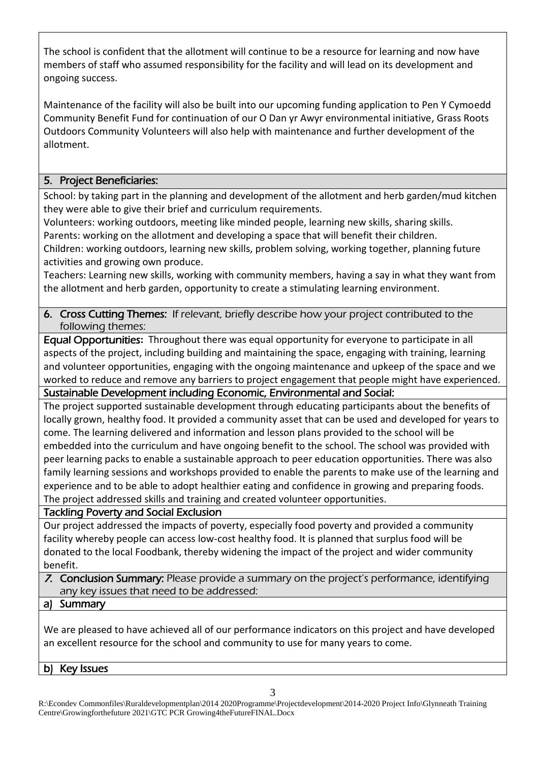The school is confident that the allotment will continue to be a resource for learning and now have members of staff who assumed responsibility for the facility and will lead on its development and ongoing success.

Maintenance of the facility will also be built into our upcoming funding application to Pen Y Cymoedd Community Benefit Fund for continuation of our O Dan yr Awyr environmental initiative, Grass Roots Outdoors Community Volunteers will also help with maintenance and further development of the allotment.

# 5. Project Beneficiaries:

School: by taking part in the planning and development of the allotment and herb garden/mud kitchen they were able to give their brief and curriculum requirements.

Volunteers: working outdoors, meeting like minded people, learning new skills, sharing skills. Parents: working on the allotment and developing a space that will benefit their children.

Children: working outdoors, learning new skills, problem solving, working together, planning future activities and growing own produce.

Teachers: Learning new skills, working with community members, having a say in what they want from the allotment and herb garden, opportunity to create a stimulating learning environment.

# 6. Cross Cutting Themes: If relevant, briefly describe how your project contributed to the following themes:

Equal Opportunities**:** Throughout there was equal opportunity for everyone to participate in all aspects of the project, including building and maintaining the space, engaging with training, learning and volunteer opportunities, engaging with the ongoing maintenance and upkeep of the space and we worked to reduce and remove any barriers to project engagement that people might have experienced.

Sustainable Development including Economic, Environmental and Social:

The project supported sustainable development through educating participants about the benefits of locally grown, healthy food. It provided a community asset that can be used and developed for years to come. The learning delivered and information and lesson plans provided to the school will be embedded into the curriculum and have ongoing benefit to the school. The school was provided with peer learning packs to enable a sustainable approach to peer education opportunities. There was also family learning sessions and workshops provided to enable the parents to make use of the learning and experience and to be able to adopt healthier eating and confidence in growing and preparing foods. The project addressed skills and training and created volunteer opportunities.

Tackling Poverty and Social Exclusion

Our project addressed the impacts of poverty, especially food poverty and provided a community facility whereby people can access low-cost healthy food. It is planned that surplus food will be donated to the local Foodbank, thereby widening the impact of the project and wider community benefit.

- 7. Conclusion Summary: Please provide a summary on the project's performance, identifying any key issues that need to be addressed:
- a) Summary

We are pleased to have achieved all of our performance indicators on this project and have developed an excellent resource for the school and community to use for many years to come.

b) Key Issues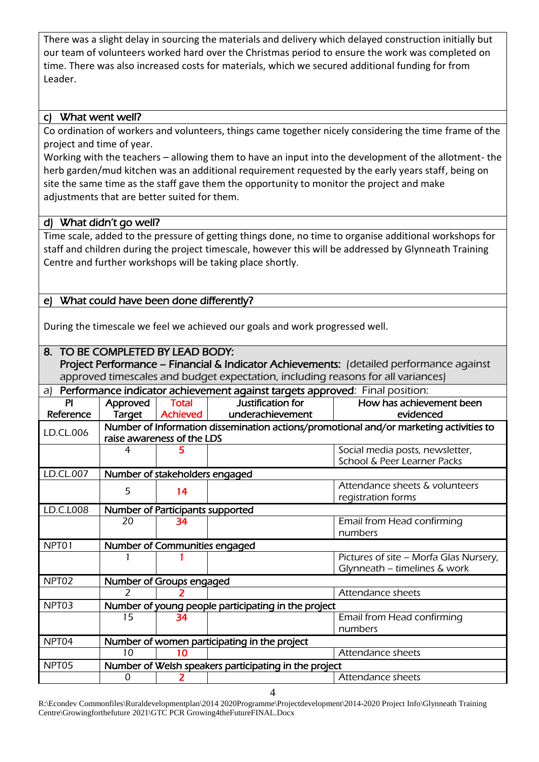There was a slight delay in sourcing the materials and delivery which delayed construction initially but our team of volunteers worked hard over the Christmas period to ensure the work was completed on time. There was also increased costs for materials, which we secured additional funding for from Leader.

# c) What went well?

Co ordination of workers and volunteers, things came together nicely considering the time frame of the project and time of year.

Working with the teachers – allowing them to have an input into the development of the allotment- the herb garden/mud kitchen was an additional requirement requested by the early years staff, being on site the same time as the staff gave them the opportunity to monitor the project and make adjustments that are better suited for them.

### d) What didn't go well?

Time scale, added to the pressure of getting things done, no time to organise additional workshops for staff and children during the project timescale, however this will be addressed by Glynneath Training Centre and further workshops will be taking place shortly.

# e) What could have been done differently?

During the timescale we feel we achieved our goals and work progressed well.

### 8. TO BE COMPLETED BY LEAD BODY:

Project Performance - Financial & Indicator Achievements: (detailed performance against approved timescales and budget expectation, including reasons for all variances)

| Performance indicator achievement against targets approved: Final position:<br>a) |                                                                                                                      |                                              |                                                     |                                                      |  |  |
|-----------------------------------------------------------------------------------|----------------------------------------------------------------------------------------------------------------------|----------------------------------------------|-----------------------------------------------------|------------------------------------------------------|--|--|
| ΡI                                                                                | Approved                                                                                                             | <b>Total</b>                                 | Justification for                                   | How has achievement been                             |  |  |
| Reference                                                                         | Target                                                                                                               | <b>Achieved</b>                              | underachievement                                    | evidenced                                            |  |  |
| LD.CL.006                                                                         | Number of Information dissemination actions/promotional and/or marketing activities to<br>raise awareness of the LDS |                                              |                                                     |                                                      |  |  |
|                                                                                   |                                                                                                                      |                                              |                                                     |                                                      |  |  |
|                                                                                   | 4                                                                                                                    |                                              |                                                     | Social media posts, newsletter,                      |  |  |
|                                                                                   |                                                                                                                      |                                              |                                                     | School & Peer Learner Packs                          |  |  |
| LD.CL.007                                                                         | Number of stakeholders engaged                                                                                       |                                              |                                                     |                                                      |  |  |
|                                                                                   | 5                                                                                                                    | 14                                           |                                                     | Attendance sheets & volunteers<br>registration forms |  |  |
| LD.C.L008                                                                         | Number of Participants supported                                                                                     |                                              |                                                     |                                                      |  |  |
|                                                                                   | 20                                                                                                                   | 34                                           |                                                     | Email from Head confirming                           |  |  |
|                                                                                   |                                                                                                                      |                                              |                                                     | numbers                                              |  |  |
| NPT01                                                                             | Number of Communities engaged                                                                                        |                                              |                                                     |                                                      |  |  |
|                                                                                   |                                                                                                                      |                                              |                                                     | Pictures of site - Morfa Glas Nursery,               |  |  |
|                                                                                   |                                                                                                                      |                                              |                                                     | Glynneath - timelines & work                         |  |  |
| NPT02                                                                             | Number of Groups engaged                                                                                             |                                              |                                                     |                                                      |  |  |
|                                                                                   | $\mathcal{P}$                                                                                                        |                                              |                                                     | Attendance sheets                                    |  |  |
| NPT03                                                                             |                                                                                                                      |                                              | Number of young people participating in the project |                                                      |  |  |
|                                                                                   | 15                                                                                                                   | 34                                           |                                                     | Email from Head confirming                           |  |  |
|                                                                                   |                                                                                                                      |                                              |                                                     | numbers                                              |  |  |
| NPT04                                                                             |                                                                                                                      | Number of women participating in the project |                                                     |                                                      |  |  |
|                                                                                   | 10                                                                                                                   | 10                                           |                                                     | Attendance sheets                                    |  |  |
| NPT05                                                                             | Number of Welsh speakers participating in the project                                                                |                                              |                                                     |                                                      |  |  |
|                                                                                   | 0                                                                                                                    |                                              |                                                     | Attendance sheets                                    |  |  |

R:\Econdev Commonfiles\Ruraldevelopmentplan\2014 2020Programme\Projectdevelopment\2014-2020 Project Info\Glynneath Training Centre\Growingforthefuture 2021\GTC PCR Growing4theFutureFINAL.Docx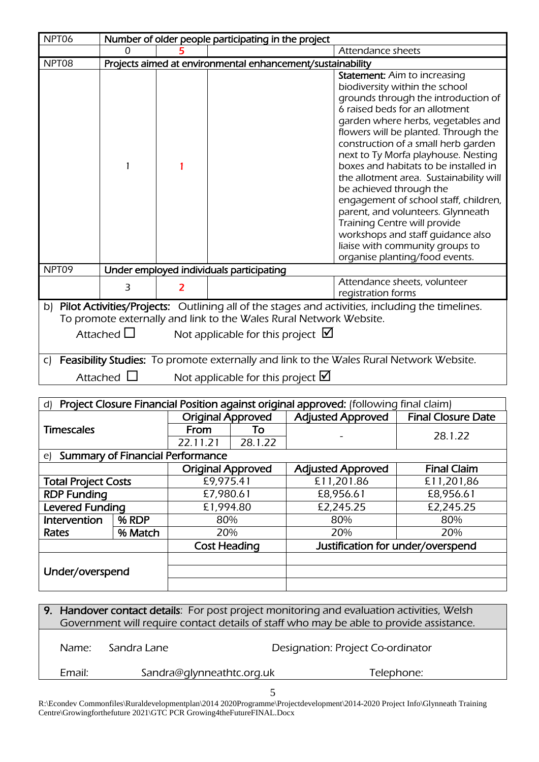| NPT06                      |                                          |                                                                                                   | Number of older people participating in the project                                                |                                             |                                   |                                                                                       |                                                                                         |
|----------------------------|------------------------------------------|---------------------------------------------------------------------------------------------------|----------------------------------------------------------------------------------------------------|---------------------------------------------|-----------------------------------|---------------------------------------------------------------------------------------|-----------------------------------------------------------------------------------------|
|                            | 0                                        |                                                                                                   | Attendance sheets                                                                                  |                                             |                                   |                                                                                       |                                                                                         |
| NPT08                      |                                          | Projects aimed at environmental enhancement/sustainability<br><b>Statement:</b> Aim to increasing |                                                                                                    |                                             |                                   |                                                                                       |                                                                                         |
|                            |                                          |                                                                                                   |                                                                                                    |                                             |                                   |                                                                                       | biodiversity within the school                                                          |
|                            |                                          |                                                                                                   |                                                                                                    |                                             |                                   |                                                                                       | grounds through the introduction of                                                     |
|                            |                                          |                                                                                                   |                                                                                                    |                                             |                                   |                                                                                       | 6 raised beds for an allotment                                                          |
|                            |                                          |                                                                                                   |                                                                                                    |                                             |                                   |                                                                                       | garden where herbs, vegetables and                                                      |
|                            |                                          |                                                                                                   |                                                                                                    |                                             |                                   |                                                                                       | flowers will be planted. Through the                                                    |
|                            |                                          |                                                                                                   |                                                                                                    |                                             |                                   |                                                                                       | construction of a small herb garden                                                     |
|                            |                                          |                                                                                                   |                                                                                                    |                                             |                                   |                                                                                       | next to Ty Morfa playhouse. Nesting                                                     |
|                            |                                          |                                                                                                   |                                                                                                    |                                             |                                   |                                                                                       | boxes and habitats to be installed in                                                   |
|                            |                                          |                                                                                                   |                                                                                                    |                                             |                                   |                                                                                       | the allotment area. Sustainability will                                                 |
|                            |                                          |                                                                                                   |                                                                                                    |                                             |                                   | be achieved through the                                                               |                                                                                         |
|                            |                                          |                                                                                                   |                                                                                                    |                                             |                                   |                                                                                       | engagement of school staff, children,                                                   |
|                            |                                          |                                                                                                   |                                                                                                    |                                             |                                   |                                                                                       | parent, and volunteers. Glynneath<br>Training Centre will provide                       |
|                            |                                          |                                                                                                   |                                                                                                    |                                             |                                   |                                                                                       | workshops and staff guidance also                                                       |
|                            |                                          |                                                                                                   |                                                                                                    |                                             |                                   |                                                                                       | liaise with community groups to                                                         |
|                            |                                          |                                                                                                   |                                                                                                    |                                             |                                   |                                                                                       | organise planting/food events.                                                          |
| NPT09                      | Under employed individuals participating |                                                                                                   |                                                                                                    |                                             |                                   |                                                                                       |                                                                                         |
|                            | 3                                        |                                                                                                   |                                                                                                    |                                             |                                   |                                                                                       | Attendance sheets, volunteer                                                            |
|                            |                                          |                                                                                                   |                                                                                                    |                                             |                                   | registration forms                                                                    |                                                                                         |
|                            |                                          |                                                                                                   | b) Pilot Activities/Projects: Outlining all of the stages and activities, including the timelines. |                                             |                                   |                                                                                       |                                                                                         |
|                            |                                          |                                                                                                   | To promote externally and link to the Wales Rural Network Website.                                 |                                             |                                   |                                                                                       |                                                                                         |
| Attached $\square$         |                                          |                                                                                                   | Not applicable for this project $\blacksquare$                                                     |                                             |                                   |                                                                                       |                                                                                         |
|                            |                                          |                                                                                                   |                                                                                                    |                                             |                                   |                                                                                       |                                                                                         |
| C)                         |                                          |                                                                                                   |                                                                                                    |                                             |                                   |                                                                                       | Feasibility Studies: To promote externally and link to the Wales Rural Network Website. |
|                            | Attached $\Box$                          |                                                                                                   |                                                                                                    | Not applicable for this project $\boxtimes$ |                                   |                                                                                       |                                                                                         |
|                            |                                          |                                                                                                   |                                                                                                    |                                             |                                   |                                                                                       |                                                                                         |
| d)                         |                                          |                                                                                                   |                                                                                                    |                                             |                                   | Project Closure Financial Position against original approved: (following final claim) |                                                                                         |
|                            |                                          |                                                                                                   |                                                                                                    | <b>Original Approved</b>                    |                                   | <b>Adjusted Approved</b>                                                              | <b>Final Closure Date</b>                                                               |
| <b>Timescales</b>          |                                          | From                                                                                              |                                                                                                    | To                                          |                                   |                                                                                       |                                                                                         |
|                            |                                          | 22.11.21                                                                                          |                                                                                                    | 28.1.22                                     |                                   |                                                                                       | 28.1.22                                                                                 |
| $\epsilon$                 | <b>Summary of Financial Performance</b>  |                                                                                                   |                                                                                                    |                                             |                                   |                                                                                       |                                                                                         |
|                            |                                          |                                                                                                   |                                                                                                    | <b>Original Approved</b>                    |                                   | <b>Adjusted Approved</b>                                                              | <b>Final Claim</b>                                                                      |
| <b>Total Project Costs</b> |                                          |                                                                                                   | £9,975.41                                                                                          |                                             |                                   | £11,201.86                                                                            | £11,201,86                                                                              |
| <b>RDP Funding</b>         |                                          |                                                                                                   | £7,980.61                                                                                          |                                             |                                   | £8,956.61                                                                             | £8,956.61                                                                               |
| <b>Levered Funding</b>     |                                          |                                                                                                   | £1,994.80                                                                                          |                                             |                                   | £2,245.25                                                                             | £2,245.25                                                                               |
|                            | % RDP<br>Intervention<br>80%             |                                                                                                   |                                                                                                    | 80%                                         |                                   | 80%                                                                                   |                                                                                         |
| Rates<br>% Match           |                                          |                                                                                                   | 20%                                                                                                |                                             | 20%<br>20%                        |                                                                                       |                                                                                         |
|                            |                                          |                                                                                                   | <b>Cost Heading</b>                                                                                |                                             | Justification for under/overspend |                                                                                       |                                                                                         |
| Under/overspend            |                                          |                                                                                                   |                                                                                                    |                                             |                                   |                                                                                       |                                                                                         |
|                            |                                          |                                                                                                   |                                                                                                    |                                             |                                   |                                                                                       |                                                                                         |
|                            |                                          |                                                                                                   |                                                                                                    |                                             |                                   |                                                                                       |                                                                                         |
|                            |                                          |                                                                                                   |                                                                                                    |                                             |                                   |                                                                                       |                                                                                         |

| 9. Handover contact details: For post project monitoring and evaluation activities, Welsh |                           |                                                                                         |  |  |  |
|-------------------------------------------------------------------------------------------|---------------------------|-----------------------------------------------------------------------------------------|--|--|--|
|                                                                                           |                           | Government will require contact details of staff who may be able to provide assistance. |  |  |  |
| Name:                                                                                     | Sandra Lane               | Designation: Project Co-ordinator                                                       |  |  |  |
| Email:                                                                                    | Sandra@glynneathtc.org.uk | Telephone:                                                                              |  |  |  |
|                                                                                           |                           |                                                                                         |  |  |  |

R:\Econdev Commonfiles\Ruraldevelopmentplan\2014 2020Programme\Projectdevelopment\2014-2020 Project Info\Glynneath Training Centre\Growingforthefuture 2021\GTC PCR Growing4theFutureFINAL.Docx